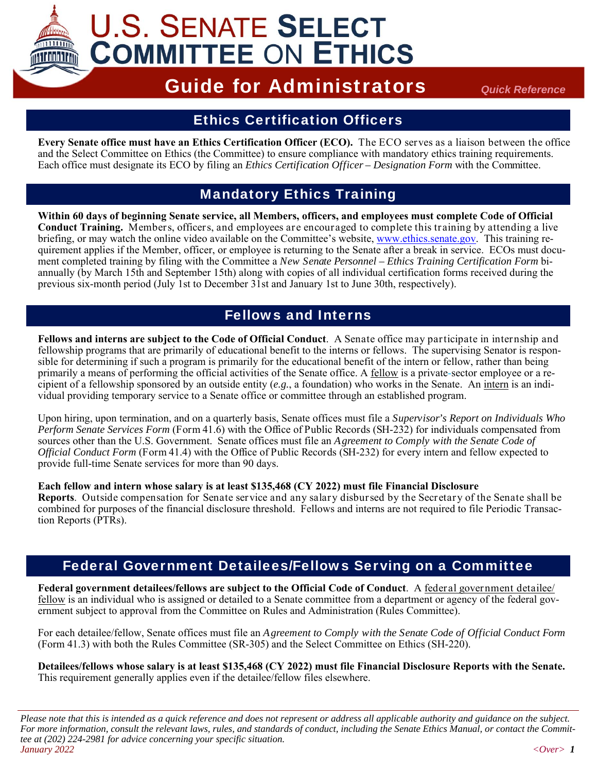

# **U.S. SENATE SELECT COMMITTEE ON ETHICS**

# Guide for Administrators *Quick Reference*

# Ethics Certification Officers

**Every Senate office must have an Ethics Certification Officer (ECO).** The ECO serves as a liaison between the office and the Select Committee on Ethics (the Committee) to ensure compliance with mandatory ethics training requirements. Each office must designate its ECO by filing an *Ethics Certification Officer – Designation Form* with the Committee.

## Mandatory Ethics Training

**Within 60 days of beginning Senate service, all Members, officers, and employees must complete Code of Official Conduct Training.** Members, officers, and employees are encouraged to complete this training by attending a live briefing, or may watch the online video available on the Committee's website, www.ethics.senate.gov. This training requirement applies if the Member, officer, or employee is returning to the Senate after a break in service. ECOs must document completed training by filing with the Committee a *New Senate Personnel – Ethics Training Certification Form* biannually (by March 15th and September 15th) along with copies of all individual certification forms received during the previous six-month period (July 1st to December 31st and January 1st to June 30th, respectively).

# Fellows and Interns

**Fellows and interns are subject to the Code of Official Conduct**. A Senate office may participate in internship and fellowship programs that are primarily of educational benefit to the interns or fellows. The supervising Senator is responsible for determining if such a program is primarily for the educational benefit of the intern or fellow, rather than being primarily a means of performing the official activities of the Senate office. A fellow is a private-sector employee or a recipient of a fellowship sponsored by an outside entity (*e.g.*, a foundation) who works in the Senate. An intern is an individual providing temporary service to a Senate office or committee through an established program.

Upon hiring, upon termination, and on a quarterly basis, Senate offices must file a *Supervisor's Report on Individuals Who Perform Senate Services Form* (Form 41.6) with the Office of Public Records (SH-232) for individuals compensated from sources other than the U.S. Government. Senate offices must file an *Agreement to Comply with the Senate Code of Official Conduct Form* (Form 41.4) with the Office of Public Records (SH-232) for every intern and fellow expected to provide full-time Senate services for more than 90 days.

#### **Each fellow and intern whose salary is at least \$135,468 (CY 2022) must file Financial Disclosure**

**Reports**. Outside compensation for Senate service and any salary disbursed by the Secretary of the Senate shall be combined for purposes of the financial disclosure threshold. Fellows and interns are not required to file Periodic Transaction Reports (PTRs).

## Federal Government Detailees/Fellows Serving on a Committee

**Federal government detailees/fellows are subject to the Official Code of Conduct**. A federal government detailee/ fellow is an individual who is assigned or detailed to a Senate committee from a department or agency of the federal government subject to approval from the Committee on Rules and Administration (Rules Committee).

For each detailee/fellow, Senate offices must file an *Agreement to Comply with the Senate Code of Official Conduct Form*  (Form 41.3) with both the Rules Committee (SR-305) and the Select Committee on Ethics (SH-220).

**Detailees/fellows whose salary is at least \$135,468 (CY 2022) must file Financial Disclosure Reports with the Senate.**  This requirement generally applies even if the detailee/fellow files elsewhere.

*Please note that this is intended as a quick reference and does not represent or address all applicable authority and guidance on the subject. For more information, consult the relevant laws, rules, and standards of conduct, including the Senate Ethics Manual, or contact the Committee at (202) 224-2981 for advice concerning your specific situation. January 2022 <Over> 1*